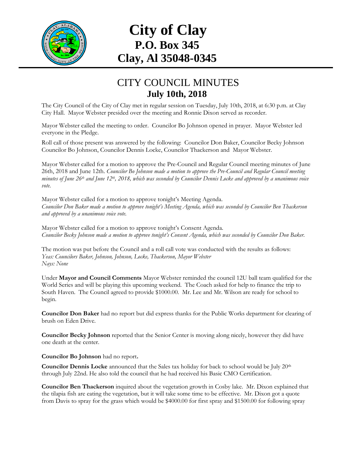

## **City of Clay P.O. Box 345 Clay, Al 35048-0345**

## CITY COUNCIL MINUTES **July 10th, 2018**

The City Council of the City of Clay met in regular session on Tuesday, July 10th, 2018, at 6:30 p.m. at Clay City Hall. Mayor Webster presided over the meeting and Ronnie Dixon served as recorder.

Mayor Webster called the meeting to order. Councilor Bo Johnson opened in prayer. Mayor Webster led everyone in the Pledge.

Roll call of those present was answered by the following: Councilor Don Baker, Councilor Becky Johnson Councilor Bo Johnson, Councilor Dennis Locke, Councilor Thackerson and Mayor Webster.

Mayor Webster called for a motion to approve the Pre-Council and Regular Council meeting minutes of June 26th, 2018 and June 12th. *Councilor Bo Johnson made a motion to approve the Pre-Council and Regular Council meeting minutes of June 26th and June 12th , 2018, which was seconded by Councilor Dennis Locke and approved by a unanimous voice vote.*

Mayor Webster called for a motion to approve tonight's Meeting Agenda. *Councilor Don Baker made a motion to approve tonight's Meeting Agenda, which was seconded by Councilor Ben Thackerson and approved by a unanimous voice vote.*

Mayor Webster called for a motion to approve tonight's Consent Agenda. *Councilor Becky Johnson made a motion to approve tonight's Consent Agenda, which was seconded by Councilor Don Baker.*

The motion was put before the Council and a roll call vote was conducted with the results as follows: *Yeas: Councilors Baker, Johnson, Johnson, Locke, Thackerson, Mayor Webster Nays: None*

Under **Mayor and Council Comments** Mayor Webster reminded the council 12U ball team qualified for the World Series and will be playing this upcoming weekend. The Coach asked for help to finance the trip to South Haven. The Council agreed to provide \$1000.00. Mr. Lee and Mr. Wilson are ready for school to begin.

**Councilor Don Baker** had no report but did express thanks for the Public Works department for clearing of brush on Eden Drive.

**Councilor Becky Johnson** reported that the Senior Center is moving along nicely, however they did have one death at the center.

**Councilor Bo Johnson** had no report**.**

**Councilor Dennis Locke** announced that the Sales tax holiday for back to school would be July 20th through July 22nd. He also told the council that he had received his Basic CMO Certification.

**Councilor Ben Thackerson** inquired about the vegetation growth in Cosby lake. Mr. Dixon explained that the tilapia fish are eating the vegetation, but it will take some time to be effective. Mr. Dixon got a quote from Davis to spray for the grass which would be \$4000.00 for first spray and \$1500.00 for following spray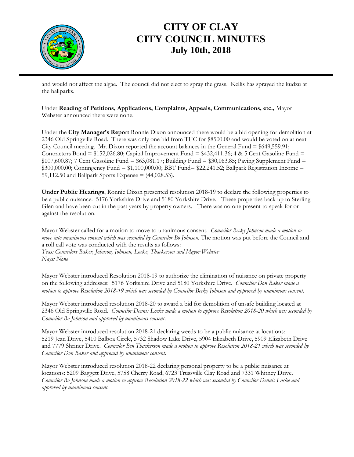

## **CITY OF CLAY CITY COUNCIL MINUTES July 10th, 2018**

and would not affect the algae. The council did not elect to spray the grass. Kellis has sprayed the kudzu at the ballparks.

Under **Reading of Petitions, Applications, Complaints, Appeals, Communications, etc.,** Mayor Webster announced there were none.

Under the **City Manager's Report** Ronnie Dixon announced there would be a bid opening for demolition at 2346 Old Springville Road. There was only one bid from TUC for \$8500.00 and would be voted on at next City Council meeting. Mr. Dixon reported the account balances in the General Fund = \$649,559.91; Contractors Bond =  $$152,026.80$ ; Capital Improvement Fund =  $$432,411.36$ ; 4 & 5 Cent Gasoline Fund =  $$107,600.87$ ; 7 Cent Gasoline Fund =  $$63,081.17$ ; Building Fund =  $$30,063.85$ ; Paving Supplement Fund =  $$300,000.00;$  Contingency Fund =  $$1,100,000.00;$  BBT Fund=  $$22,241.52;$  Ballpark Registration Income = 59,112.50 and Ballpark Sports Expense = (44,028.53).

**Under Public Hearings**, Ronnie Dixon presented resolution 2018-19 to declare the following properties to be a public nuisance: 5176 Yorkshire Drive and 5180 Yorkshire Drive. These properties back up to Sterling Glen and have been cut in the past years by property owners. There was no one present to speak for or against the resolution.

Mayor Webster called for a motion to move to unanimous consent. *Councilor Becky Johnson made a motion to move into unanimous consent which was seconded by Councilor Bo Johnson.* The motion was put before the Council and a roll call vote was conducted with the results as follows: *Yeas: Councilors Baker, Johnson, Johnson, Locke, Thackerson and Mayor Webster Nays: None*

Mayor Webster introduced Resolution 2018-19 to authorize the elimination of nuisance on private property on the following addresses: 5176 Yorkshire Drive and 5180 Yorkshire Drive. *Councilor Don Baker made a motion to approve Resolution 2018-19 which was seconded by Councilor Becky Johnson and approved by unanimous consent*.

Mayor Webster introduced resolution 2018-20 to award a bid for demolition of unsafe building located at 2346 Old Springville Road. *Councilor Dennis Locke made a motion to approve Resolution 2018-20 which was seconded by Councilor Bo Johnson and approved by unanimous consent*.

Mayor Webster introduced resolution 2018-21 declaring weeds to be a public nuisance at locations: 5219 Jean Drive, 5410 Balboa Circle, 5732 Shadow Lake Drive, 5904 Elizabeth Drive, 5909 Elizabeth Drive and 7779 Shriner Drive. *Councilor Ben Thackerson made a motion to approve Resolution 2018-21 which was seconded by Councilor Don Baker and approved by unanimous consent.*

Mayor Webster introduced resolution 2018-22 declaring personal property to be a public nuisance at locations: 5209 Baggett Drive, 5758 Cherry Road, 6723 Trussville Clay Road and 7331 Whitney Drive. *Councilor Bo Johnson made a motion to approve Resolution 2018-22 which was seconded by Councilor Dennis Locke and approved by unanimous consent.*